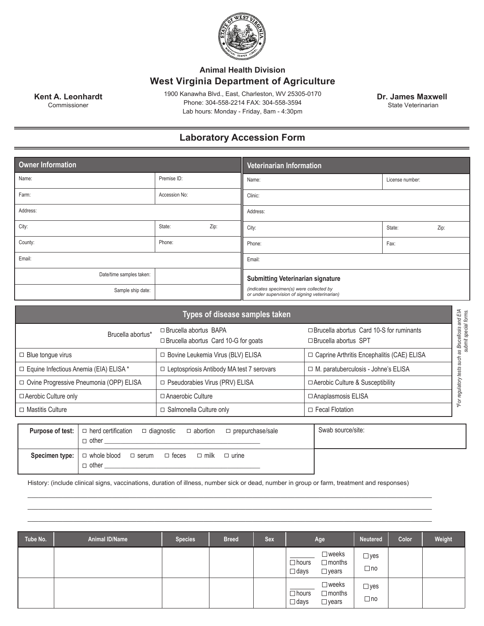

## **Animal Health Division West Virginia Department of Agriculture**

1900 Kanawha Blvd., East, Charleston, WV 25305-0170 Phone: 304-558-2214 FAX: 304-558-3594 Lab hours: Monday - Friday, 8am - 4:30pm

**Kent A. Leonhardt** Commissioner

 $\Box$  other  $\Box$ 

 **Dr. James Maxwell** State Veterinarian

## **Laboratory Accession Form**

| Owner Information        |               |      | Veterinarian Information                                                                  |                 |      |  |  |
|--------------------------|---------------|------|-------------------------------------------------------------------------------------------|-----------------|------|--|--|
| Name:                    | Premise ID:   |      | Name:                                                                                     | License number: |      |  |  |
| Farm:                    | Accession No: |      | Clinic:                                                                                   |                 |      |  |  |
| Address:                 |               |      | Address:                                                                                  |                 |      |  |  |
| City:                    | State:        | Zip: | City:                                                                                     | State:          | Zip: |  |  |
| County:                  | Phone:        |      | Phone:                                                                                    | Fax:            |      |  |  |
| Email:                   |               |      | Email:                                                                                    |                 |      |  |  |
| Date/time samples taken: |               |      | <b>Submitting Veterinarian signature</b>                                                  |                 |      |  |  |
| Sample ship date:        |               |      | (indicates specimen(s) were collected by<br>or under supervision of signing veterinarian) |                 |      |  |  |

| Types of disease samples taken            |                                                              |                                                                             |                                                                                |                                              |
|-------------------------------------------|--------------------------------------------------------------|-----------------------------------------------------------------------------|--------------------------------------------------------------------------------|----------------------------------------------|
| Brucella abortus*                         |                                                              | $\Box$ Brucella abortus BAPA<br>$\Box$ Brucella abortus Card 10-G for goats | $\Box$ Brucella abortus Card 10-S for ruminants<br>$\Box$ Brucella abortus SPT | Brucellosis and EIA<br>.thmit special forms. |
| $\Box$ Blue tonque virus                  |                                                              | □ Bovine Leukemia Virus (BLV) ELISA                                         | □ Caprine Arthritis Encephalitis (CAE) ELISA                                   | SB<br>such                                   |
| □ Equine Infectious Anemia (EIA) ELISA *  |                                                              | Leptospriosis Antibody MA test 7 serovars                                   | □ M. paratuberculosis - Johne's ELISA                                          | tests                                        |
| □ Ovine Progressive Pneumonia (OPP) ELISA |                                                              | Pseudorabies Virus (PRV) ELISA                                              | $\Box$ Aerobic Culture & Susceptibility                                        | regulatory                                   |
| $\Box$ Aerobic Culture only               |                                                              | □ Anaerobic Culture                                                         | □ Anaplasmosis ELISA                                                           | $*For$                                       |
| $\Box$ Mastitis Culture                   |                                                              | Salmonella Culture only                                                     | $\Box$ Fecal Flotation                                                         |                                              |
| Purpose of test:                          | $\Box$ herd certification<br>$\Box$ diagnostic<br>other<br>П | Swab source/site:                                                           |                                                                                |                                              |
| Specimen type:                            | $\Box$ whole blood<br>$\Box$ serum                           | $\Box$ feces<br>$\Box$ milk<br>$\Box$ urine                                 |                                                                                |                                              |

History: (include clinical signs, vaccinations, duration of illness, number sick or dead, number in group or farm, treatment and responses)

\_\_\_\_\_\_\_\_\_\_\_\_\_\_\_\_\_\_\_\_\_\_\_\_\_\_\_\_\_\_\_\_\_\_\_\_\_\_\_\_\_\_\_\_\_\_\_\_\_\_\_\_\_\_\_\_\_\_\_\_\_\_\_\_\_\_\_\_\_\_\_\_\_\_\_\_\_\_\_\_\_\_\_\_\_\_\_\_\_\_\_\_\_\_\_\_\_\_\_\_\_\_\_\_\_\_\_\_\_\_\_\_\_\_\_ \_\_\_\_\_\_\_\_\_\_\_\_\_\_\_\_\_\_\_\_\_\_\_\_\_\_\_\_\_\_\_\_\_\_\_\_\_\_\_\_\_\_\_\_\_\_\_\_\_\_\_\_\_\_\_\_\_\_\_\_\_\_\_\_\_\_\_\_\_\_\_\_\_\_\_\_\_\_\_\_\_\_\_\_\_\_\_\_\_\_\_\_\_\_\_\_\_\_\_\_\_\_\_\_\_\_\_\_\_\_\_\_\_\_\_ \_\_\_\_\_\_\_\_\_\_\_\_\_\_\_\_\_\_\_\_\_\_\_\_\_\_\_\_\_\_\_\_\_\_\_\_\_\_\_\_\_\_\_\_\_\_\_\_\_\_\_\_\_\_\_\_\_\_\_\_\_\_\_\_\_\_\_\_\_\_\_\_\_\_\_\_\_\_\_\_\_\_\_\_\_\_\_\_\_\_\_\_\_\_\_\_\_\_\_\_\_\_\_\_\_\_\_\_\_\_\_\_\_\_\_

| Tube No. | <b>Animal ID/Name</b> | <b>Species</b> | <b>Breed</b> | <b>Sex</b> | Age                                                                                | <b>Neutered</b>            | Color | Weight |
|----------|-----------------------|----------------|--------------|------------|------------------------------------------------------------------------------------|----------------------------|-------|--------|
|          |                       |                |              |            | $\square$ weeks<br>$\Box$ hours<br>$\Box$ months<br>$\square$ days<br>$\Box$ years | $\Box$ yes<br>$\Box$ no    |       |        |
|          |                       |                |              |            | $\square$ weeks<br>$\Box$ hours<br>$\Box$ months<br>$\Box$ days<br>$\Box$ years    | $\Box$ yes<br>$\square$ no |       |        |